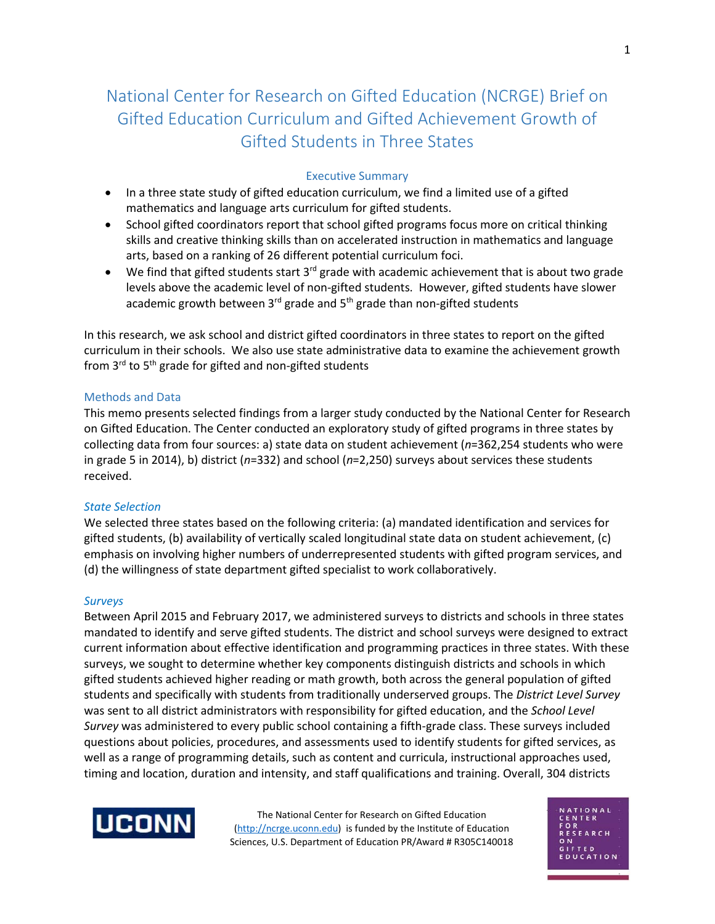# National Center for Research on Gifted Education (NCRGE) Brief on Gifted Education Curriculum and Gifted Achievement Growth of Gifted Students in Three States

## Executive Summary

- In a three state study of gifted education curriculum, we find a limited use of a gifted mathematics and language arts curriculum for gifted students.
- School gifted coordinators report that school gifted programs focus more on critical thinking skills and creative thinking skills than on accelerated instruction in mathematics and language arts, based on a ranking of 26 different potential curriculum foci.
- We find that gifted students start  $3^{rd}$  grade with academic achievement that is about two grade levels above the academic level of non-gifted students. However, gifted students have slower academic growth between  $3^{rd}$  grade and  $5^{th}$  grade than non-gifted students

In this research, we ask school and district gifted coordinators in three states to report on the gifted curriculum in their schools. We also use state administrative data to examine the achievement growth from  $3^{rd}$  to  $5^{th}$  grade for gifted and non-gifted students

## Methods and Data

This memo presents selected findings from a larger study conducted by the National Center for Research on Gifted Education. The Center conducted an exploratory study of gifted programs in three states by collecting data from four sources: a) state data on student achievement (*n*=362,254 students who were in grade 5 in 2014), b) district (*n*=332) and school (*n*=2,250) surveys about services these students received.

## *State Selection*

We selected three states based on the following criteria: (a) mandated identification and services for gifted students, (b) availability of vertically scaled longitudinal state data on student achievement, (c) emphasis on involving higher numbers of underrepresented students with gifted program services, and (d) the willingness of state department gifted specialist to work collaboratively.

#### *Surveys*

Between April 2015 and February 2017, we administered surveys to districts and schools in three states mandated to identify and serve gifted students. The district and school surveys were designed to extract current information about effective identification and programming practices in three states. With these surveys, we sought to determine whether key components distinguish districts and schools in which gifted students achieved higher reading or math growth, both across the general population of gifted students and specifically with students from traditionally underserved groups. The *District Level Survey* was sent to all district administrators with responsibility for gifted education, and the *School Level Survey* was administered to every public school containing a fifth-grade class. These surveys included questions about policies, procedures, and assessments used to identify students for gifted services, as well as a range of programming details, such as content and curricula, instructional approaches used, timing and location, duration and intensity, and staff qualifications and training. Overall, 304 districts



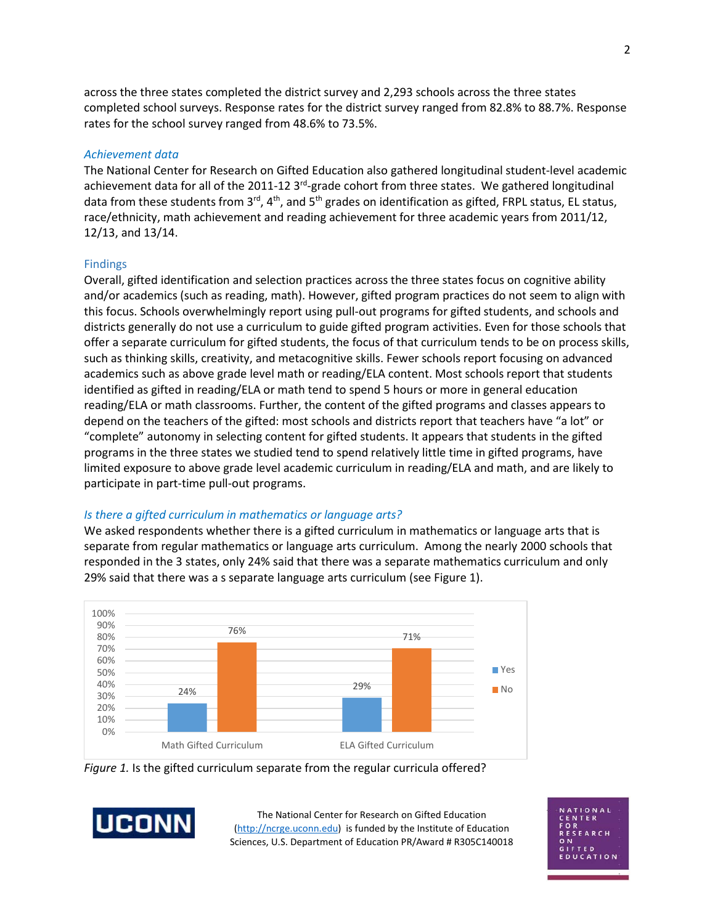across the three states completed the district survey and 2,293 schools across the three states completed school surveys. Response rates for the district survey ranged from 82.8% to 88.7%. Response rates for the school survey ranged from 48.6% to 73.5%.

#### *Achievement data*

The National Center for Research on Gifted Education also gathered longitudinal student-level academic achievement data for all of the 2011-12 3<sup>rd</sup>-grade cohort from three states. We gathered longitudinal data from these students from  $3^{rd}$ , 4<sup>th</sup>, and 5<sup>th</sup> grades on identification as gifted, FRPL status, EL status, race/ethnicity, math achievement and reading achievement for three academic years from 2011/12, 12/13, and 13/14.

#### Findings

Overall, gifted identification and selection practices across the three states focus on cognitive ability and/or academics (such as reading, math). However, gifted program practices do not seem to align with this focus. Schools overwhelmingly report using pull-out programs for gifted students, and schools and districts generally do not use a curriculum to guide gifted program activities. Even for those schools that offer a separate curriculum for gifted students, the focus of that curriculum tends to be on process skills, such as thinking skills, creativity, and metacognitive skills. Fewer schools report focusing on advanced academics such as above grade level math or reading/ELA content. Most schools report that students identified as gifted in reading/ELA or math tend to spend 5 hours or more in general education reading/ELA or math classrooms. Further, the content of the gifted programs and classes appears to depend on the teachers of the gifted: most schools and districts report that teachers have "a lot" or "complete" autonomy in selecting content for gifted students. It appears that students in the gifted programs in the three states we studied tend to spend relatively little time in gifted programs, have limited exposure to above grade level academic curriculum in reading/ELA and math, and are likely to participate in part-time pull-out programs.

#### *Is there a gifted curriculum in mathematics or language arts?*

We asked respondents whether there is a gifted curriculum in mathematics or language arts that is separate from regular mathematics or language arts curriculum. Among the nearly 2000 schools that responded in the 3 states, only 24% said that there was a separate mathematics curriculum and only 29% said that there was a s separate language arts curriculum (see Figure 1).



*Figure 1.* Is the gifted curriculum separate from the regular curricula offered?



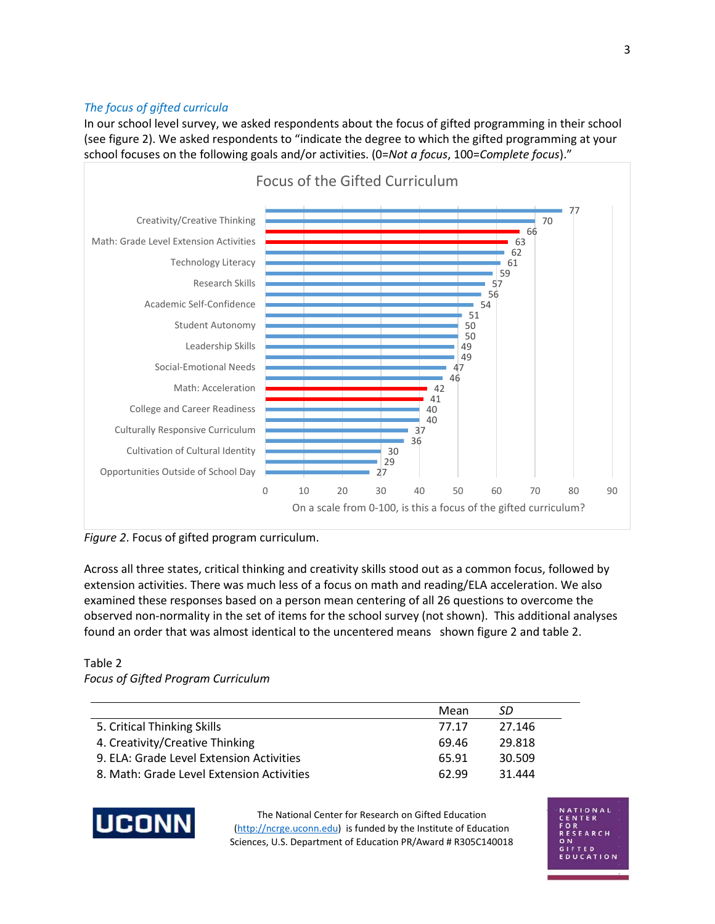## *The focus of gifted curricula*

In our school level survey, we asked respondents about the focus of gifted programming in their school (see figure 2). We asked respondents to "indicate the degree to which the gifted programming at your school focuses on the following goals and/or activities. (0=*Not a focus*, 100=*Complete focus*)."



*Figure 2*. Focus of gifted program curriculum.

Across all three states, critical thinking and creativity skills stood out as a common focus, followed by extension activities. There was much less of a focus on math and reading/ELA acceleration. We also examined these responses based on a person mean centering of all 26 questions to overcome the observed non-normality in the set of items for the school survey (not shown). This additional analyses found an order that was almost identical to the uncentered means shown figure 2 and table 2.

## Table 2 *Focus of Gifted Program Curriculum*

|                                           | Mean  | .SD    |
|-------------------------------------------|-------|--------|
| 5. Critical Thinking Skills               | 77.17 | 27.146 |
| 4. Creativity/Creative Thinking           | 69.46 | 29.818 |
| 9. ELA: Grade Level Extension Activities  | 65.91 | 30.509 |
| 8. Math: Grade Level Extension Activities | 62.99 | 31.444 |



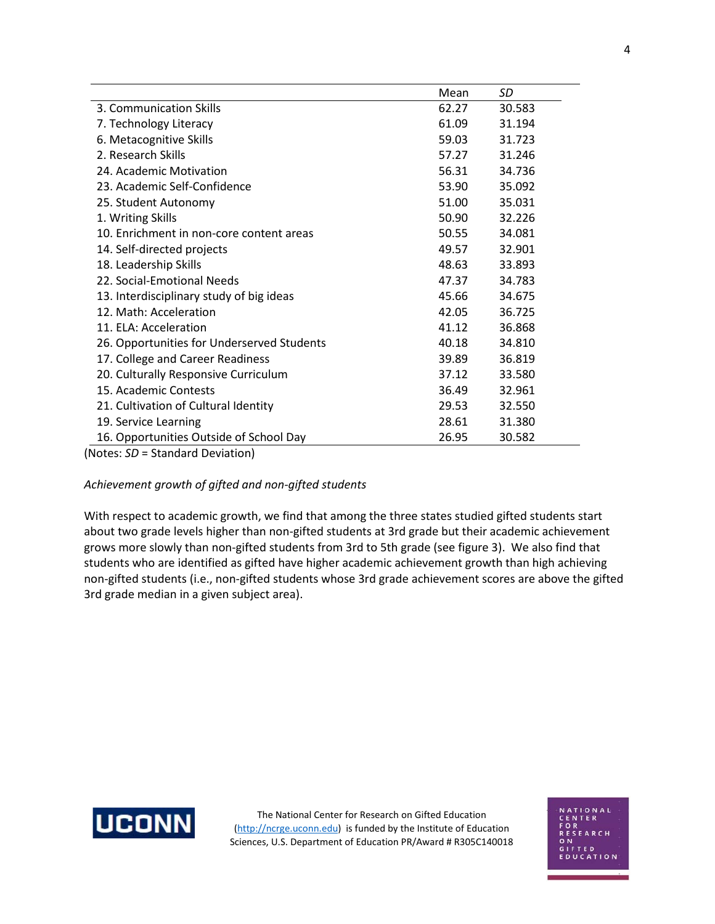|                                            | Mean  | SD     |
|--------------------------------------------|-------|--------|
| 3. Communication Skills                    | 62.27 | 30.583 |
| 7. Technology Literacy                     | 61.09 | 31.194 |
| 6. Metacognitive Skills                    | 59.03 | 31.723 |
| 2. Research Skills                         | 57.27 | 31.246 |
| 24. Academic Motivation                    | 56.31 | 34.736 |
| 23. Academic Self-Confidence               | 53.90 | 35.092 |
| 25. Student Autonomy                       | 51.00 | 35.031 |
| 1. Writing Skills                          | 50.90 | 32.226 |
| 10. Enrichment in non-core content areas   | 50.55 | 34.081 |
| 14. Self-directed projects                 | 49.57 | 32.901 |
| 18. Leadership Skills                      | 48.63 | 33.893 |
| 22. Social-Emotional Needs                 | 47.37 | 34.783 |
| 13. Interdisciplinary study of big ideas   | 45.66 | 34.675 |
| 12. Math: Acceleration                     | 42.05 | 36.725 |
| 11. ELA: Acceleration                      | 41.12 | 36.868 |
| 26. Opportunities for Underserved Students | 40.18 | 34.810 |
| 17. College and Career Readiness           | 39.89 | 36.819 |
| 20. Culturally Responsive Curriculum       | 37.12 | 33.580 |
| 15. Academic Contests                      | 36.49 | 32.961 |
| 21. Cultivation of Cultural Identity       | 29.53 | 32.550 |
| 19. Service Learning                       | 28.61 | 31.380 |
| 16. Opportunities Outside of School Day    | 26.95 | 30.582 |

(Notes: *SD* = Standard Deviation)

## *Achievement growth of gifted and non-gifted students*

With respect to academic growth, we find that among the three states studied gifted students start about two grade levels higher than non-gifted students at 3rd grade but their academic achievement grows more slowly than non-gifted students from 3rd to 5th grade (see figure 3). We also find that students who are identified as gifted have higher academic achievement growth than high achieving non-gifted students (i.e., non-gifted students whose 3rd grade achievement scores are above the gifted 3rd grade median in a given subject area).